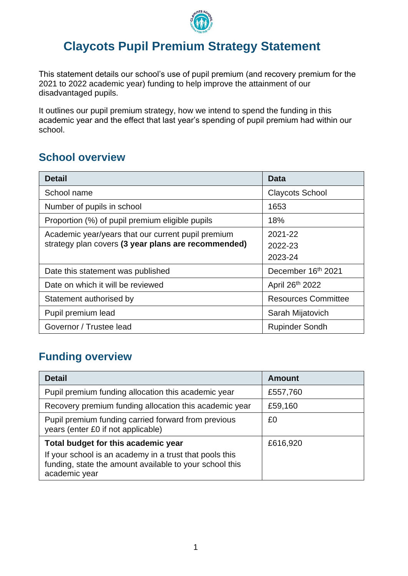

# **Claycots Pupil Premium Strategy Statement**

This statement details our school's use of pupil premium (and recovery premium for the 2021 to 2022 academic year) funding to help improve the attainment of our disadvantaged pupils.

It outlines our pupil premium strategy, how we intend to spend the funding in this academic year and the effect that last year's spending of pupil premium had within our school.

## **School overview**

| <b>Detail</b>                                                                                             | <b>Data</b>                   |
|-----------------------------------------------------------------------------------------------------------|-------------------------------|
| School name                                                                                               | <b>Claycots School</b>        |
| Number of pupils in school                                                                                | 1653                          |
| Proportion (%) of pupil premium eligible pupils                                                           | 18%                           |
| Academic year/years that our current pupil premium<br>strategy plan covers (3 year plans are recommended) | 2021-22<br>2022-23<br>2023-24 |
| Date this statement was published                                                                         | December 16th 2021            |
| Date on which it will be reviewed                                                                         | April 26th 2022               |
| Statement authorised by                                                                                   | <b>Resources Committee</b>    |
| Pupil premium lead                                                                                        | Sarah Mijatovich              |
| Governor / Trustee lead                                                                                   | <b>Rupinder Sondh</b>         |

## **Funding overview**

| <b>Detail</b>                                                                                                                       | <b>Amount</b> |
|-------------------------------------------------------------------------------------------------------------------------------------|---------------|
| Pupil premium funding allocation this academic year                                                                                 | £557,760      |
| Recovery premium funding allocation this academic year                                                                              | £59,160       |
| Pupil premium funding carried forward from previous<br>years (enter £0 if not applicable)                                           | £0            |
| Total budget for this academic year                                                                                                 | £616,920      |
| If your school is an academy in a trust that pools this<br>funding, state the amount available to your school this<br>academic year |               |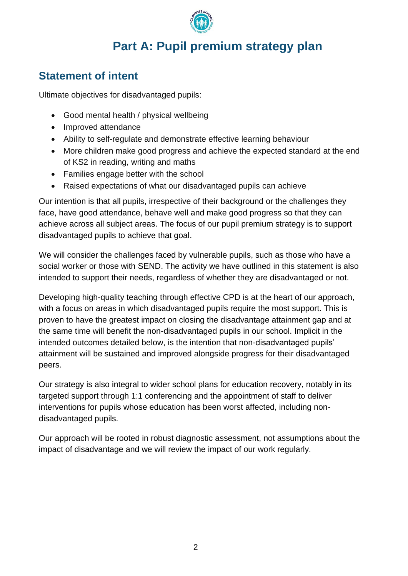

# **Part A: Pupil premium strategy plan**

### **Statement of intent**

Ultimate objectives for disadvantaged pupils:

- Good mental health / physical wellbeing
- Improved attendance
- Ability to self-regulate and demonstrate effective learning behaviour
- More children make good progress and achieve the expected standard at the end of KS2 in reading, writing and maths
- Families engage better with the school
- Raised expectations of what our disadvantaged pupils can achieve

Our intention is that all pupils, irrespective of their background or the challenges they face, have good attendance, behave well and make good progress so that they can achieve across all subject areas. The focus of our pupil premium strategy is to support disadvantaged pupils to achieve that goal.

We will consider the challenges faced by vulnerable pupils, such as those who have a social worker or those with SEND. The activity we have outlined in this statement is also intended to support their needs, regardless of whether they are disadvantaged or not.

Developing high-quality teaching through effective CPD is at the heart of our approach, with a focus on areas in which disadvantaged pupils require the most support. This is proven to have the greatest impact on closing the disadvantage attainment gap and at the same time will benefit the non-disadvantaged pupils in our school. Implicit in the intended outcomes detailed below, is the intention that non-disadvantaged pupils' attainment will be sustained and improved alongside progress for their disadvantaged peers.

Our strategy is also integral to wider school plans for education recovery, notably in its targeted support through 1:1 conferencing and the appointment of staff to deliver interventions for pupils whose education has been worst affected, including nondisadvantaged pupils.

Our approach will be rooted in robust diagnostic assessment, not assumptions about the impact of disadvantage and we will review the impact of our work regularly.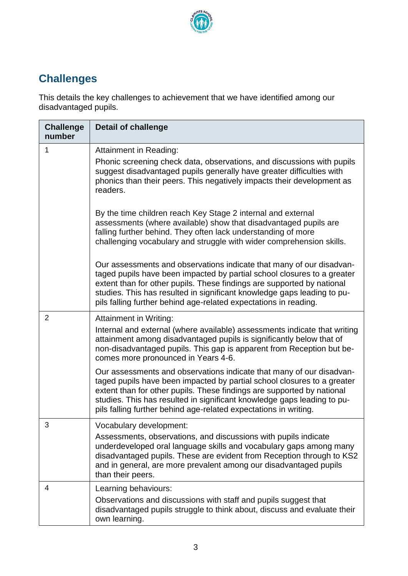

# **Challenges**

This details the key challenges to achievement that we have identified among our disadvantaged pupils.

| <b>Challenge</b><br>number | <b>Detail of challenge</b>                                                                                                                                                                                                                                                                                                                                               |
|----------------------------|--------------------------------------------------------------------------------------------------------------------------------------------------------------------------------------------------------------------------------------------------------------------------------------------------------------------------------------------------------------------------|
| 1                          | Attainment in Reading:<br>Phonic screening check data, observations, and discussions with pupils<br>suggest disadvantaged pupils generally have greater difficulties with<br>phonics than their peers. This negatively impacts their development as<br>readers.                                                                                                          |
|                            | By the time children reach Key Stage 2 internal and external<br>assessments (where available) show that disadvantaged pupils are<br>falling further behind. They often lack understanding of more<br>challenging vocabulary and struggle with wider comprehension skills.                                                                                                |
|                            | Our assessments and observations indicate that many of our disadvan-<br>taged pupils have been impacted by partial school closures to a greater<br>extent than for other pupils. These findings are supported by national<br>studies. This has resulted in significant knowledge gaps leading to pu-<br>pils falling further behind age-related expectations in reading. |
| $\overline{2}$             | <b>Attainment in Writing:</b>                                                                                                                                                                                                                                                                                                                                            |
|                            | Internal and external (where available) assessments indicate that writing<br>attainment among disadvantaged pupils is significantly below that of<br>non-disadvantaged pupils. This gap is apparent from Reception but be-<br>comes more pronounced in Years 4-6.                                                                                                        |
|                            | Our assessments and observations indicate that many of our disadvan-<br>taged pupils have been impacted by partial school closures to a greater<br>extent than for other pupils. These findings are supported by national<br>studies. This has resulted in significant knowledge gaps leading to pu-<br>pils falling further behind age-related expectations in writing. |
| 3                          | Vocabulary development:<br>Assessments, observations, and discussions with pupils indicate<br>underdeveloped oral language skills and vocabulary gaps among many<br>disadvantaged pupils. These are evident from Reception through to KS2<br>and in general, are more prevalent among our disadvantaged pupils<br>than their peers.                                      |
| 4                          | Learning behaviours:<br>Observations and discussions with staff and pupils suggest that<br>disadvantaged pupils struggle to think about, discuss and evaluate their<br>own learning.                                                                                                                                                                                     |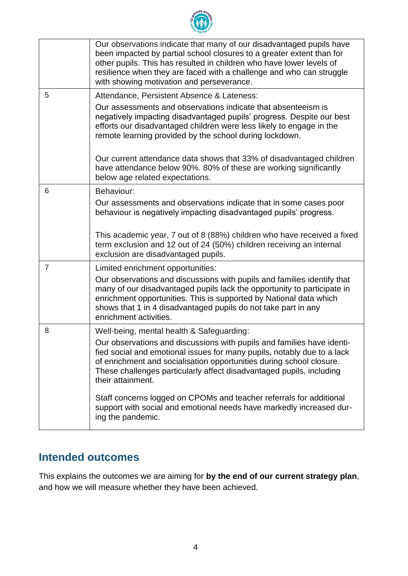

|                | Our observations indicate that many of our disadvantaged pupils have<br>been impacted by partial school closures to a greater extent than for<br>other pupils. This has resulted in children who have lower levels of<br>resilience when they are faced with a challenge and who can struggle<br>with showing motivation and perseverance. |
|----------------|--------------------------------------------------------------------------------------------------------------------------------------------------------------------------------------------------------------------------------------------------------------------------------------------------------------------------------------------|
| 5              | Attendance, Persistent Absence & Lateness:                                                                                                                                                                                                                                                                                                 |
|                | Our assessments and observations indicate that absenteeism is<br>negatively impacting disadvantaged pupils' progress. Despite our best<br>efforts our disadvantaged children were less likely to engage in the<br>remote learning provided by the school during lockdown.                                                                  |
|                | Our current attendance data shows that 33% of disadvantaged children<br>have attendance below 90%. 80% of these are working significantly<br>below age related expectations.                                                                                                                                                               |
| 6              | Behaviour:                                                                                                                                                                                                                                                                                                                                 |
|                | Our assessments and observations indicate that in some cases poor<br>behaviour is negatively impacting disadvantaged pupils' progress.                                                                                                                                                                                                     |
|                | This academic year, 7 out of 8 (88%) children who have received a fixed<br>term exclusion and 12 out of 24 (50%) children receiving an internal<br>exclusion are disadvantaged pupils.                                                                                                                                                     |
| $\overline{7}$ | Limited enrichment opportunities:                                                                                                                                                                                                                                                                                                          |
|                | Our observations and discussions with pupils and families identify that<br>many of our disadvantaged pupils lack the opportunity to participate in<br>enrichment opportunities. This is supported by National data which<br>shows that 1 in 4 disadvantaged pupils do not take part in any<br>enrichment activities.                       |
| 8              | Well-being, mental health & Safeguarding:                                                                                                                                                                                                                                                                                                  |
|                | Our observations and discussions with pupils and families have identi-<br>fied social and emotional issues for many pupils, notably due to a lack<br>of enrichment and socialisation opportunities during school closure.<br>These challenges particularly affect disadvantaged pupils, including<br>their attainment.                     |
|                | Staff concerns logged on CPOMs and teacher referrals for additional<br>support with social and emotional needs have markedly increased dur-<br>ing the pandemic.                                                                                                                                                                           |

#### **Intended outcomes**

This explains the outcomes we are aiming for **by the end of our current strategy plan**, and how we will measure whether they have been achieved.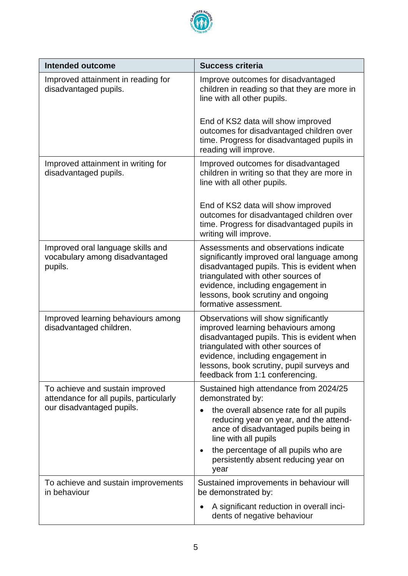

| <b>Intended outcome</b>                                                        | <b>Success criteria</b>                                                                                                                                                                                                                                                             |
|--------------------------------------------------------------------------------|-------------------------------------------------------------------------------------------------------------------------------------------------------------------------------------------------------------------------------------------------------------------------------------|
| Improved attainment in reading for<br>disadvantaged pupils.                    | Improve outcomes for disadvantaged<br>children in reading so that they are more in<br>line with all other pupils.                                                                                                                                                                   |
|                                                                                | End of KS2 data will show improved<br>outcomes for disadvantaged children over<br>time. Progress for disadvantaged pupils in<br>reading will improve.                                                                                                                               |
| Improved attainment in writing for<br>disadvantaged pupils.                    | Improved outcomes for disadvantaged<br>children in writing so that they are more in<br>line with all other pupils.                                                                                                                                                                  |
|                                                                                | End of KS2 data will show improved<br>outcomes for disadvantaged children over<br>time. Progress for disadvantaged pupils in<br>writing will improve.                                                                                                                               |
| Improved oral language skills and<br>vocabulary among disadvantaged<br>pupils. | Assessments and observations indicate<br>significantly improved oral language among<br>disadvantaged pupils. This is evident when<br>triangulated with other sources of<br>evidence, including engagement in<br>lessons, book scrutiny and ongoing<br>formative assessment.         |
| Improved learning behaviours among<br>disadvantaged children.                  | Observations will show significantly<br>improved learning behaviours among<br>disadvantaged pupils. This is evident when<br>triangulated with other sources of<br>evidence, including engagement in<br>lessons, book scrutiny, pupil surveys and<br>feedback from 1:1 conferencing. |
| To achieve and sustain improved<br>attendance for all pupils, particularly     | Sustained high attendance from 2024/25<br>demonstrated by:                                                                                                                                                                                                                          |
| our disadvantaged pupils.                                                      | the overall absence rate for all pupils<br>reducing year on year, and the attend-<br>ance of disadvantaged pupils being in<br>line with all pupils                                                                                                                                  |
|                                                                                | the percentage of all pupils who are<br>persistently absent reducing year on<br>year                                                                                                                                                                                                |
| To achieve and sustain improvements<br>in behaviour                            | Sustained improvements in behaviour will<br>be demonstrated by:                                                                                                                                                                                                                     |
|                                                                                | A significant reduction in overall inci-<br>dents of negative behaviour                                                                                                                                                                                                             |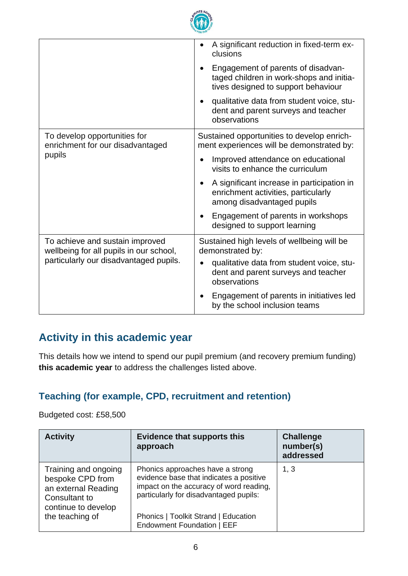

|                                                                                                                      | A significant reduction in fixed-term ex-<br>clusions<br>Engagement of parents of disadvan-<br>taged children in work-shops and initia-<br>tives designed to support behaviour<br>qualitative data from student voice, stu-<br>dent and parent surveys and teacher |  |
|----------------------------------------------------------------------------------------------------------------------|--------------------------------------------------------------------------------------------------------------------------------------------------------------------------------------------------------------------------------------------------------------------|--|
|                                                                                                                      | observations                                                                                                                                                                                                                                                       |  |
| To develop opportunities for<br>enrichment for our disadvantaged<br>pupils                                           | Sustained opportunities to develop enrich-<br>ment experiences will be demonstrated by:                                                                                                                                                                            |  |
|                                                                                                                      | Improved attendance on educational<br>visits to enhance the curriculum                                                                                                                                                                                             |  |
|                                                                                                                      | A significant increase in participation in<br>$\bullet$<br>enrichment activities, particularly<br>among disadvantaged pupils                                                                                                                                       |  |
|                                                                                                                      | Engagement of parents in workshops<br>designed to support learning                                                                                                                                                                                                 |  |
| To achieve and sustain improved<br>wellbeing for all pupils in our school,<br>particularly our disadvantaged pupils. | Sustained high levels of wellbeing will be<br>demonstrated by:                                                                                                                                                                                                     |  |
|                                                                                                                      | qualitative data from student voice, stu-<br>dent and parent surveys and teacher<br>observations                                                                                                                                                                   |  |
|                                                                                                                      | Engagement of parents in initiatives led<br>by the school inclusion teams                                                                                                                                                                                          |  |

# **Activity in this academic year**

This details how we intend to spend our pupil premium (and recovery premium funding) **this academic year** to address the challenges listed above.

#### **Teaching (for example, CPD, recruitment and retention)**

Budgeted cost: £58,500

| <b>Activity</b>                                                                                                            | <b>Evidence that supports this</b><br>approach                                                                                                                                                           | <b>Challenge</b><br>number(s)<br>addressed |
|----------------------------------------------------------------------------------------------------------------------------|----------------------------------------------------------------------------------------------------------------------------------------------------------------------------------------------------------|--------------------------------------------|
| Training and ongoing<br>bespoke CPD from<br>an external Reading<br>Consultant to<br>continue to develop<br>the teaching of | Phonics approaches have a strong<br>evidence base that indicates a positive<br>impact on the accuracy of word reading,<br>particularly for disadvantaged pupils:<br>Phonics   Toolkit Strand   Education | 1, 3                                       |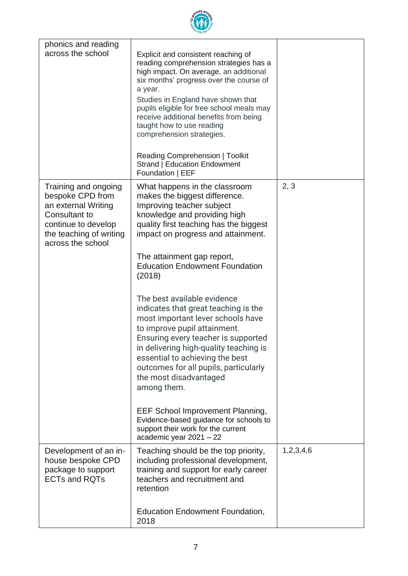

| phonics and reading<br>across the school     | Explicit and consistent reaching of                                                               |           |
|----------------------------------------------|---------------------------------------------------------------------------------------------------|-----------|
|                                              | reading comprehension strategies has a                                                            |           |
|                                              | high impact. On average, an additional<br>six months' progress over the course of                 |           |
|                                              | a year.                                                                                           |           |
|                                              | Studies in England have shown that<br>pupils eligible for free school meals may                   |           |
|                                              | receive additional benefits from being<br>taught how to use reading                               |           |
|                                              | comprehension strategies.                                                                         |           |
|                                              |                                                                                                   |           |
|                                              | <b>Reading Comprehension   Toolkit</b><br><b>Strand   Education Endowment</b><br>Foundation   EEF |           |
| Training and ongoing                         | What happens in the classroom                                                                     | 2, 3      |
| bespoke CPD from                             | makes the biggest difference.                                                                     |           |
| an external Writing<br>Consultant to         | Improving teacher subject<br>knowledge and providing high                                         |           |
| continue to develop                          | quality first teaching has the biggest                                                            |           |
| the teaching of writing<br>across the school | impact on progress and attainment.                                                                |           |
|                                              | The attainment gap report,                                                                        |           |
|                                              | <b>Education Endowment Foundation</b><br>(2018)                                                   |           |
|                                              |                                                                                                   |           |
|                                              | The best available evidence                                                                       |           |
|                                              | indicates that great teaching is the<br>most important lever schools have                         |           |
|                                              | to improve pupil attainment.                                                                      |           |
|                                              | Ensuring every teacher is supported                                                               |           |
|                                              | in delivering high-quality teaching is<br>essential to achieving the best                         |           |
|                                              | outcomes for all pupils, particularly                                                             |           |
|                                              | the most disadvantaged<br>among them.                                                             |           |
|                                              |                                                                                                   |           |
|                                              | <b>EEF School Improvement Planning,</b>                                                           |           |
|                                              | Evidence-based guidance for schools to<br>support their work for the current                      |           |
|                                              | academic year $2021 - 22$                                                                         |           |
| Development of an in-<br>house bespoke CPD   | Teaching should be the top priority,<br>including professional development,                       | 1,2,3,4,6 |
| package to support                           | training and support for early career                                                             |           |
| <b>ECTs and RQTs</b>                         | teachers and recruitment and<br>retention                                                         |           |
|                                              |                                                                                                   |           |
|                                              | <b>Education Endowment Foundation,</b><br>2018                                                    |           |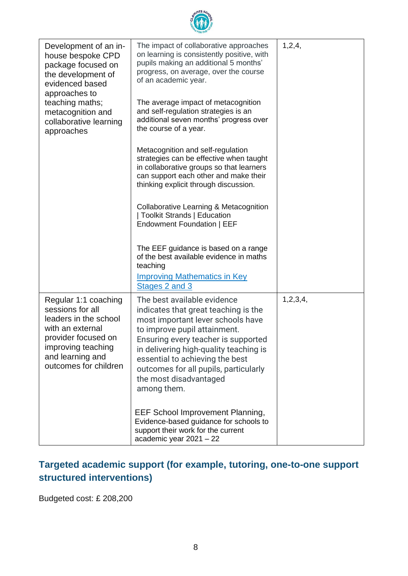

| Development of an in-<br>house bespoke CPD<br>package focused on<br>the development of<br>evidenced based<br>approaches to                                                      | The impact of collaborative approaches<br>on learning is consistently positive, with<br>pupils making an additional 5 months'<br>progress, on average, over the course<br>of an academic year.                                                                                                                                                 | 1,2,4,      |
|---------------------------------------------------------------------------------------------------------------------------------------------------------------------------------|------------------------------------------------------------------------------------------------------------------------------------------------------------------------------------------------------------------------------------------------------------------------------------------------------------------------------------------------|-------------|
| teaching maths;<br>metacognition and<br>collaborative learning<br>approaches                                                                                                    | The average impact of metacognition<br>and self-regulation strategies is an<br>additional seven months' progress over<br>the course of a year.                                                                                                                                                                                                 |             |
|                                                                                                                                                                                 | Metacognition and self-regulation<br>strategies can be effective when taught<br>in collaborative groups so that learners<br>can support each other and make their<br>thinking explicit through discussion.                                                                                                                                     |             |
|                                                                                                                                                                                 | Collaborative Learning & Metacognition<br><b>Toolkit Strands   Education</b><br>Endowment Foundation   EEF                                                                                                                                                                                                                                     |             |
|                                                                                                                                                                                 | The EEF guidance is based on a range<br>of the best available evidence in maths<br>teaching<br><b>Improving Mathematics in Key</b><br>Stages 2 and 3                                                                                                                                                                                           |             |
| Regular 1:1 coaching<br>sessions for all<br>leaders in the school<br>with an external<br>provider focused on<br>improving teaching<br>and learning and<br>outcomes for children | The best available evidence<br>indicates that great teaching is the<br>most important lever schools have<br>to improve pupil attainment.<br>Ensuring every teacher is supported<br>in delivering high-quality teaching is<br>essential to achieving the best<br>outcomes for all pupils, particularly<br>the most disadvantaged<br>among them. | 1, 2, 3, 4, |
|                                                                                                                                                                                 | <b>EEF School Improvement Planning,</b><br>Evidence-based guidance for schools to<br>support their work for the current<br>academic year 2021 - 22                                                                                                                                                                                             |             |

## **Targeted academic support (for example, tutoring, one-to-one support structured interventions)**

Budgeted cost: £ 208,200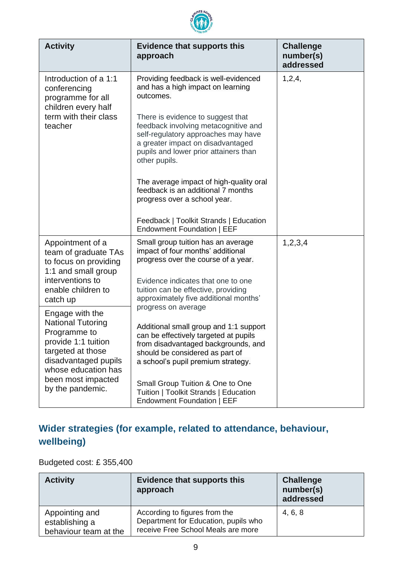

| <b>Activity</b>                                                                                                                                                                                  | <b>Evidence that supports this</b><br>approach                                                                                                                                                                                                                                                                                                                                                                                                                                                     | <b>Challenge</b><br>number(s)<br>addressed |
|--------------------------------------------------------------------------------------------------------------------------------------------------------------------------------------------------|----------------------------------------------------------------------------------------------------------------------------------------------------------------------------------------------------------------------------------------------------------------------------------------------------------------------------------------------------------------------------------------------------------------------------------------------------------------------------------------------------|--------------------------------------------|
| Introduction of a 1:1<br>conferencing<br>programme for all<br>children every half<br>term with their class<br>teacher                                                                            | Providing feedback is well-evidenced<br>and has a high impact on learning<br>outcomes.<br>There is evidence to suggest that<br>feedback involving metacognitive and<br>self-regulatory approaches may have<br>a greater impact on disadvantaged<br>pupils and lower prior attainers than<br>other pupils.<br>The average impact of high-quality oral<br>feedback is an additional 7 months<br>progress over a school year.<br>Feedback   Toolkit Strands   Education<br>Endowment Foundation   EEF | 1, 2, 4,                                   |
| Appointment of a<br>team of graduate TAs<br>to focus on providing<br>1:1 and small group<br>interventions to<br>enable children to<br>catch up                                                   | Small group tuition has an average<br>impact of four months' additional<br>progress over the course of a year.<br>Evidence indicates that one to one<br>tuition can be effective, providing<br>approximately five additional months'                                                                                                                                                                                                                                                               | 1,2,3,4                                    |
| Engage with the<br><b>National Tutoring</b><br>Programme to<br>provide 1:1 tuition<br>targeted at those<br>disadvantaged pupils<br>whose education has<br>been most impacted<br>by the pandemic. | progress on average<br>Additional small group and 1:1 support<br>can be effectively targeted at pupils<br>from disadvantaged backgrounds, and<br>should be considered as part of<br>a school's pupil premium strategy.<br>Small Group Tuition & One to One<br>Tuition   Toolkit Strands   Education<br>Endowment Foundation   EEF                                                                                                                                                                  |                                            |

## **Wider strategies (for example, related to attendance, behaviour, wellbeing)**

Budgeted cost: £ 355,400

| <b>Activity</b>                                           | <b>Evidence that supports this</b><br>approach                                                              | <b>Challenge</b><br>number(s)<br>addressed |
|-----------------------------------------------------------|-------------------------------------------------------------------------------------------------------------|--------------------------------------------|
| Appointing and<br>establishing a<br>behaviour team at the | According to figures from the<br>Department for Education, pupils who<br>receive Free School Meals are more | 4, 6, 8                                    |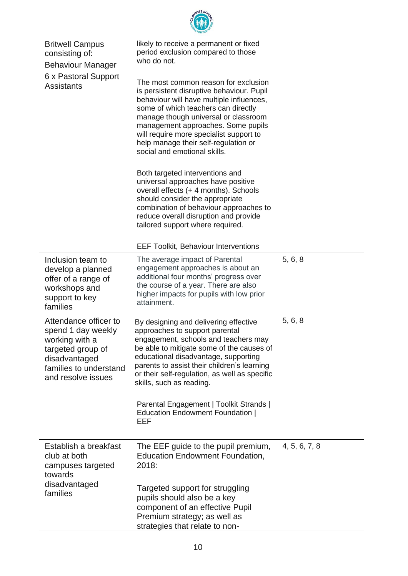| <b>Britwell Campus</b><br>consisting of:<br><b>Behaviour Manager</b>                                                                                | likely to receive a permanent or fixed<br>period exclusion compared to those<br>who do not.                                                                                                                                                                                                                                                                           |               |  |
|-----------------------------------------------------------------------------------------------------------------------------------------------------|-----------------------------------------------------------------------------------------------------------------------------------------------------------------------------------------------------------------------------------------------------------------------------------------------------------------------------------------------------------------------|---------------|--|
| 6 x Pastoral Support<br><b>Assistants</b>                                                                                                           | The most common reason for exclusion<br>is persistent disruptive behaviour. Pupil<br>behaviour will have multiple influences,<br>some of which teachers can directly<br>manage though universal or classroom<br>management approaches. Some pupils<br>will require more specialist support to<br>help manage their self-regulation or<br>social and emotional skills. |               |  |
|                                                                                                                                                     | Both targeted interventions and<br>universal approaches have positive<br>overall effects (+ 4 months). Schools<br>should consider the appropriate<br>combination of behaviour approaches to<br>reduce overall disruption and provide<br>tailored support where required.                                                                                              |               |  |
|                                                                                                                                                     | <b>EEF Toolkit, Behaviour Interventions</b>                                                                                                                                                                                                                                                                                                                           |               |  |
| Inclusion team to<br>develop a planned<br>offer of a range of<br>workshops and<br>support to key<br>families                                        | The average impact of Parental<br>engagement approaches is about an<br>additional four months' progress over<br>the course of a year. There are also<br>higher impacts for pupils with low prior<br>attainment.                                                                                                                                                       | 5, 6, 8       |  |
| Attendance officer to<br>spend 1 day weekly<br>working with a<br>targeted group of<br>disadvantaged<br>families to understand<br>and resolve issues | By designing and delivering effective<br>approaches to support parental<br>engagement, schools and teachers may<br>be able to mitigate some of the causes of<br>educational disadvantage, supporting<br>parents to assist their children's learning<br>or their self-regulation, as well as specific<br>skills, such as reading.                                      | 5, 6, 8       |  |
|                                                                                                                                                     | Parental Engagement   Toolkit Strands  <br><b>Education Endowment Foundation  </b><br>EEF                                                                                                                                                                                                                                                                             |               |  |
| Establish a breakfast<br>club at both<br>campuses targeted<br>towards                                                                               | The EEF guide to the pupil premium,<br><b>Education Endowment Foundation,</b><br>2018:                                                                                                                                                                                                                                                                                | 4, 5, 6, 7, 8 |  |
| disadvantaged<br>families                                                                                                                           | Targeted support for struggling<br>pupils should also be a key<br>component of an effective Pupil<br>Premium strategy; as well as<br>strategies that relate to non-                                                                                                                                                                                                   |               |  |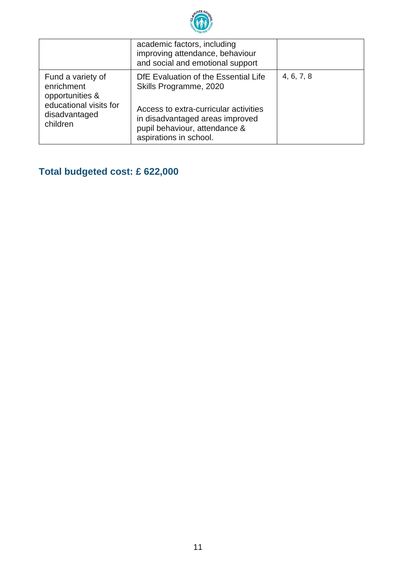

|                                                                                                           | academic factors, including<br>improving attendance, behaviour<br>and social and emotional support                                                                                                    |            |
|-----------------------------------------------------------------------------------------------------------|-------------------------------------------------------------------------------------------------------------------------------------------------------------------------------------------------------|------------|
| Fund a variety of<br>enrichment<br>opportunities &<br>educational visits for<br>disadvantaged<br>children | DfE Evaluation of the Essential Life<br>Skills Programme, 2020<br>Access to extra-curricular activities<br>in disadvantaged areas improved<br>pupil behaviour, attendance &<br>aspirations in school. | 4, 6, 7, 8 |

# **Total budgeted cost: £ 622,000**